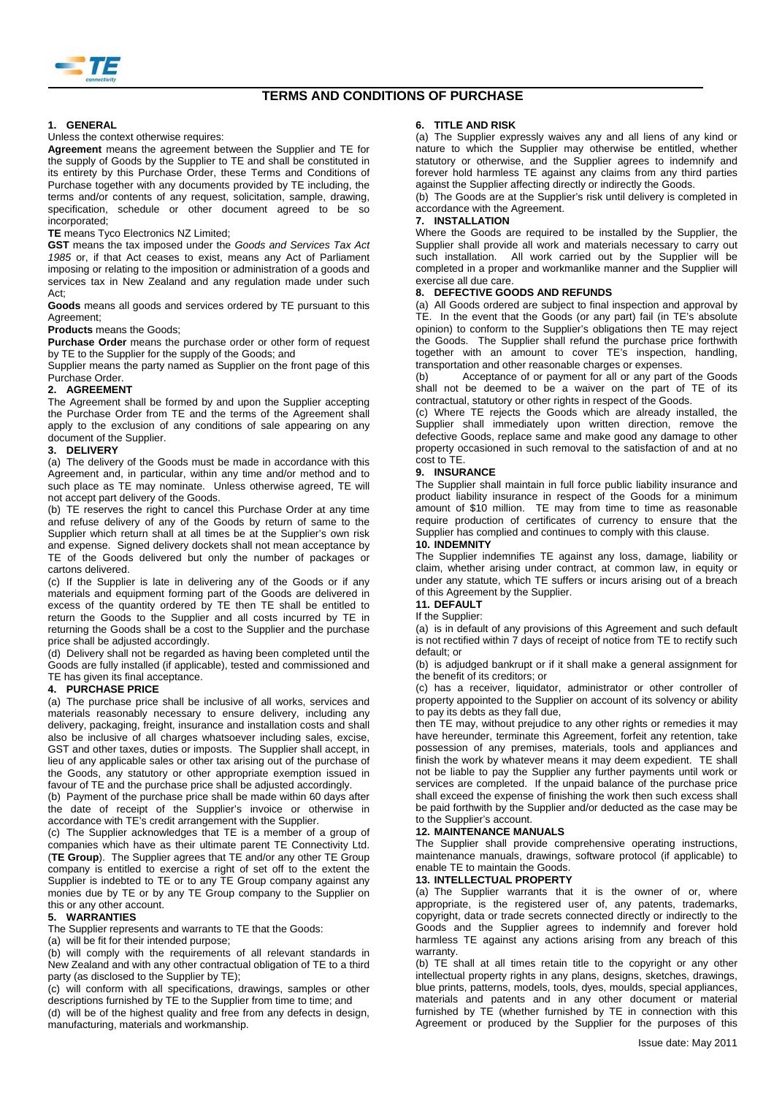

# **TERMS AND CONDITIONS OF PURCHASE**

## **1. GENERAL**

### Unless the context otherwise requires:

**Agreement** means the agreement between the Supplier and TE for the supply of Goods by the Supplier to TE and shall be constituted in its entirety by this Purchase Order, these Terms and Conditions of Purchase together with any documents provided by TE including, the terms and/or contents of any request, solicitation, sample, drawing, specification, schedule or other document agreed to be so incorporated;

### **TE** means Tyco Electronics NZ Limited;

**GST** means the tax imposed under the *Goods and Services Tax Act 1985* or, if that Act ceases to exist, means any Act of Parliament imposing or relating to the imposition or administration of a goods and services tax in New Zealand and any regulation made under such Act;

**Goods** means all goods and services ordered by TE pursuant to this Agreement;

**Products** means the Goods;

**Purchase Order** means the purchase order or other form of request by TE to the Supplier for the supply of the Goods; and

Supplier means the party named as Supplier on the front page of this Purchase Order.

### **2. AGREEMENT**

The Agreement shall be formed by and upon the Supplier accepting the Purchase Order from TE and the terms of the Agreement shall apply to the exclusion of any conditions of sale appearing on any document of the Supplier.

## **3. DELIVERY**

(a) The delivery of the Goods must be made in accordance with this Agreement and, in particular, within any time and/or method and to such place as TE may nominate. Unless otherwise agreed, TE will not accept part delivery of the Goods.

(b) TE reserves the right to cancel this Purchase Order at any time and refuse delivery of any of the Goods by return of same to the Supplier which return shall at all times be at the Supplier's own risk and expense. Signed delivery dockets shall not mean acceptance by TE of the Goods delivered but only the number of packages or cartons delivered.

(c) If the Supplier is late in delivering any of the Goods or if any materials and equipment forming part of the Goods are delivered in excess of the quantity ordered by TE then TE shall be entitled to return the Goods to the Supplier and all costs incurred by TE in returning the Goods shall be a cost to the Supplier and the purchase price shall be adjusted accordingly.

(d) Delivery shall not be regarded as having been completed until the Goods are fully installed (if applicable), tested and commissioned and TE has given its final acceptance.

### **4. PURCHASE PRICE**

(a) The purchase price shall be inclusive of all works, services and materials reasonably necessary to ensure delivery, including any delivery, packaging, freight, insurance and installation costs and shall also be inclusive of all charges whatsoever including sales, excise, GST and other taxes, duties or imposts. The Supplier shall accept, in lieu of any applicable sales or other tax arising out of the purchase of the Goods, any statutory or other appropriate exemption issued in favour of TE and the purchase price shall be adjusted accordingly.

(b) Payment of the purchase price shall be made within 60 days after the date of receipt of the Supplier's invoice or otherwise in accordance with TE's credit arrangement with the Supplier.

(c) The Supplier acknowledges that TE is a member of a group of companies which have as their ultimate parent TE Connectivity Ltd. (**TE Group**). The Supplier agrees that TE and/or any other TE Group company is entitled to exercise a right of set off to the extent the Supplier is indebted to TE or to any TE Group company against any monies due by TE or by any TE Group company to the Supplier on this or any other account.

## **5. WARRANTIES**

The Supplier represents and warrants to TE that the Goods:

(a) will be fit for their intended purpose;

(b) will comply with the requirements of all relevant standards in New Zealand and with any other contractual obligation of TE to a third party (as disclosed to the Supplier by TE);

(c) will conform with all specifications, drawings, samples or other descriptions furnished by TE to the Supplier from time to time; and (d) will be of the highest quality and free from any defects in design, manufacturing, materials and workmanship.

### **6. TITLE AND RISK**

(a) The Supplier expressly waives any and all liens of any kind or nature to which the Supplier may otherwise be entitled, whether statutory or otherwise, and the Supplier agrees to indemnify and forever hold harmless TE against any claims from any third parties against the Supplier affecting directly or indirectly the Goods.

(b) The Goods are at the Supplier's risk until delivery is completed in accordance with the Agreement.

# **7. INSTALLATION**

Where the Goods are required to be installed by the Supplier, the Supplier shall provide all work and materials necessary to carry out such installation. All work carried out by the Supplier will be completed in a proper and workmanlike manner and the Supplier will exercise all due care.

### **8. DEFECTIVE GOODS AND REFUNDS**

(a) All Goods ordered are subject to final inspection and approval by TE. In the event that the Goods (or any part) fail (in TE's absolute opinion) to conform to the Supplier's obligations then TE may reject the Goods. The Supplier shall refund the purchase price forthwith together with an amount to cover TE's inspection, handling, transportation and other reasonable charges or expenses.

(b) Acceptance of or payment for all or any part of the Goods shall not be deemed to be a waiver on the part of TE of its contractual, statutory or other rights in respect of the Goods.

(c) Where TE rejects the Goods which are already installed, the Supplier shall immediately upon written direction, remove the defective Goods, replace same and make good any damage to other property occasioned in such removal to the satisfaction of and at no cost to TE.

### **9. INSURANCE**

The Supplier shall maintain in full force public liability insurance and product liability insurance in respect of the Goods for a minimum amount of \$10 million. TE may from time to time as reasonable require production of certificates of currency to ensure that the Supplier has complied and continues to comply with this clause.

#### **10. INDEMNITY**

The Supplier indemnifies TE against any loss, damage, liability or claim, whether arising under contract, at common law, in equity or under any statute, which TE suffers or incurs arising out of a breach of this Agreement by the Supplier.

## **11. DEFAULT**

If the Supplier:

(a) is in default of any provisions of this Agreement and such default is not rectified within 7 days of receipt of notice from TE to rectify such default; or

(b) is adjudged bankrupt or if it shall make a general assignment for the benefit of its creditors; or

(c) has a receiver, liquidator, administrator or other controller of property appointed to the Supplier on account of its solvency or ability to pay its debts as they fall due,

then TE may, without prejudice to any other rights or remedies it may have hereunder, terminate this Agreement, forfeit any retention, take possession of any premises, materials, tools and appliances and finish the work by whatever means it may deem expedient. TE shall not be liable to pay the Supplier any further payments until work or services are completed. If the unpaid balance of the purchase price shall exceed the expense of finishing the work then such excess shall be paid forthwith by the Supplier and/or deducted as the case may be to the Supplier's account.

### **12. MAINTENANCE MANUALS**

The Supplier shall provide comprehensive operating instructions, maintenance manuals, drawings, software protocol (if applicable) to enable TE to maintain the Goods.

## **13. INTELLECTUAL PROPERTY**

(a) The Supplier warrants that it is the owner of or, where appropriate, is the registered user of, any patents, trademarks, copyright, data or trade secrets connected directly or indirectly to the Goods and the Supplier agrees to indemnify and forever hold harmless TE against any actions arising from any breach of this warranty.

(b) TE shall at all times retain title to the copyright or any other intellectual property rights in any plans, designs, sketches, drawings, blue prints, patterns, models, tools, dyes, moulds, special appliances, materials and patents and in any other document or material furnished by TE (whether furnished by TE in connection with this Agreement or produced by the Supplier for the purposes of this